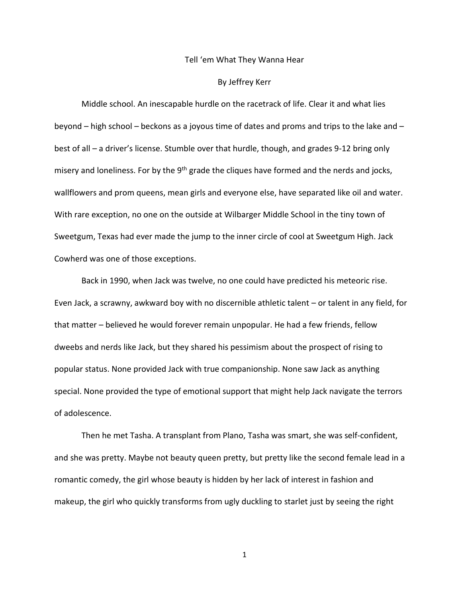## Tell 'em What They Wanna Hear

## By Jeffrey Kerr

Middle school. An inescapable hurdle on the racetrack of life. Clear it and what lies beyond – high school – beckons as a joyous time of dates and proms and trips to the lake and – best of all – a driver's license. Stumble over that hurdle, though, and grades 9-12 bring only misery and loneliness. For by the  $9<sup>th</sup>$  grade the cliques have formed and the nerds and jocks, wallflowers and prom queens, mean girls and everyone else, have separated like oil and water. With rare exception, no one on the outside at Wilbarger Middle School in the tiny town of Sweetgum, Texas had ever made the jump to the inner circle of cool at Sweetgum High. Jack Cowherd was one of those exceptions.

Back in 1990, when Jack was twelve, no one could have predicted his meteoric rise. Even Jack, a scrawny, awkward boy with no discernible athletic talent – or talent in any field, for that matter – believed he would forever remain unpopular. He had a few friends, fellow dweebs and nerds like Jack, but they shared his pessimism about the prospect of rising to popular status. None provided Jack with true companionship. None saw Jack as anything special. None provided the type of emotional support that might help Jack navigate the terrors of adolescence.

Then he met Tasha. A transplant from Plano, Tasha was smart, she was self-confident, and she was pretty. Maybe not beauty queen pretty, but pretty like the second female lead in a romantic comedy, the girl whose beauty is hidden by her lack of interest in fashion and makeup, the girl who quickly transforms from ugly duckling to starlet just by seeing the right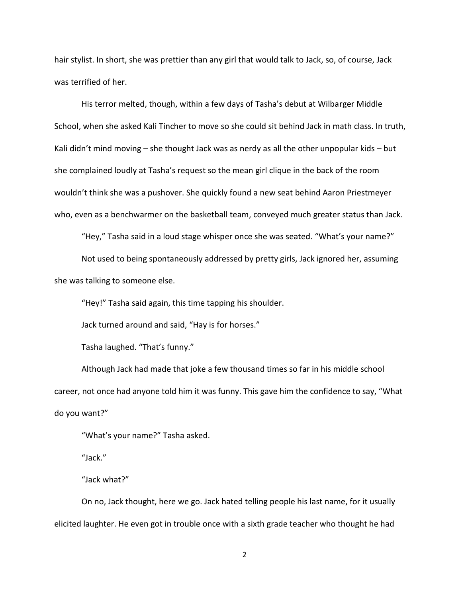hair stylist. In short, she was prettier than any girl that would talk to Jack, so, of course, Jack was terrified of her.

His terror melted, though, within a few days of Tasha's debut at Wilbarger Middle School, when she asked Kali Tincher to move so she could sit behind Jack in math class. In truth, Kali didn't mind moving – she thought Jack was as nerdy as all the other unpopular kids – but she complained loudly at Tasha's request so the mean girl clique in the back of the room wouldn't think she was a pushover. She quickly found a new seat behind Aaron Priestmeyer who, even as a benchwarmer on the basketball team, conveyed much greater status than Jack.

"Hey," Tasha said in a loud stage whisper once she was seated. "What's your name?" Not used to being spontaneously addressed by pretty girls, Jack ignored her, assuming

she was talking to someone else.

"Hey!" Tasha said again, this time tapping his shoulder.

Jack turned around and said, "Hay is for horses."

Tasha laughed. "That's funny."

Although Jack had made that joke a few thousand times so far in his middle school career, not once had anyone told him it was funny. This gave him the confidence to say, "What do you want?"

"What's your name?" Tasha asked.

"Jack."

"Jack what?"

On no, Jack thought, here we go. Jack hated telling people his last name, for it usually elicited laughter. He even got in trouble once with a sixth grade teacher who thought he had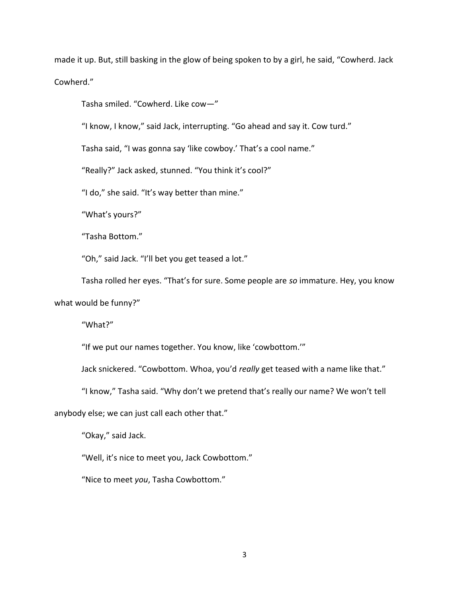made it up. But, still basking in the glow of being spoken to by a girl, he said, "Cowherd. Jack Cowherd."

Tasha smiled. "Cowherd. Like cow—"

"I know, I know," said Jack, interrupting. "Go ahead and say it. Cow turd."

Tasha said, "I was gonna say 'like cowboy.' That's a cool name."

"Really?" Jack asked, stunned. "You think it's cool?"

"I do," she said. "It's way better than mine."

"What's yours?"

"Tasha Bottom."

"Oh," said Jack. "I'll bet you get teased a lot."

Tasha rolled her eyes. "That's for sure. Some people are *so* immature. Hey, you know what would be funny?"

"What?"

"If we put our names together. You know, like 'cowbottom.'"

Jack snickered. "Cowbottom. Whoa, you'd *really* get teased with a name like that."

"I know," Tasha said. "Why don't we pretend that's really our name? We won't tell

anybody else; we can just call each other that."

"Okay," said Jack.

"Well, it's nice to meet you, Jack Cowbottom."

"Nice to meet *you*, Tasha Cowbottom."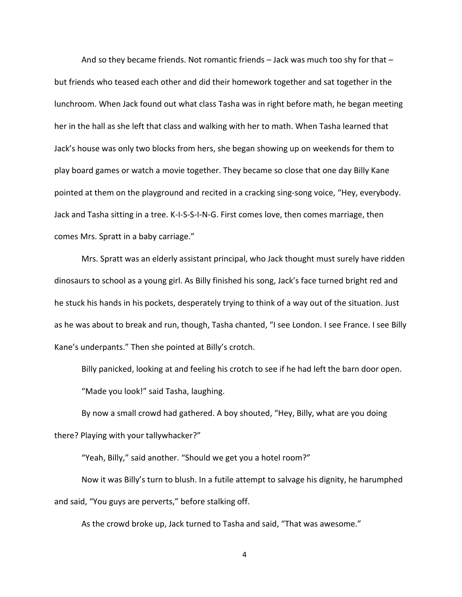And so they became friends. Not romantic friends – Jack was much too shy for that – but friends who teased each other and did their homework together and sat together in the lunchroom. When Jack found out what class Tasha was in right before math, he began meeting her in the hall as she left that class and walking with her to math. When Tasha learned that Jack's house was only two blocks from hers, she began showing up on weekends for them to play board games or watch a movie together. They became so close that one day Billy Kane pointed at them on the playground and recited in a cracking sing-song voice, "Hey, everybody. Jack and Tasha sitting in a tree. K-I-S-S-I-N-G. First comes love, then comes marriage, then comes Mrs. Spratt in a baby carriage."

Mrs. Spratt was an elderly assistant principal, who Jack thought must surely have ridden dinosaurs to school as a young girl. As Billy finished his song, Jack's face turned bright red and he stuck his hands in his pockets, desperately trying to think of a way out of the situation. Just as he was about to break and run, though, Tasha chanted, "I see London. I see France. I see Billy Kane's underpants." Then she pointed at Billy's crotch.

Billy panicked, looking at and feeling his crotch to see if he had left the barn door open. "Made you look!" said Tasha, laughing.

By now a small crowd had gathered. A boy shouted, "Hey, Billy, what are you doing there? Playing with your tallywhacker?"

"Yeah, Billy," said another. "Should we get you a hotel room?"

Now it was Billy's turn to blush. In a futile attempt to salvage his dignity, he harumphed and said, "You guys are perverts," before stalking off.

As the crowd broke up, Jack turned to Tasha and said, "That was awesome."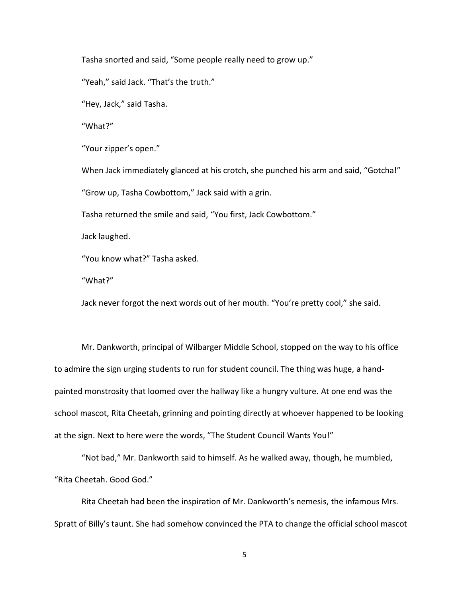Tasha snorted and said, "Some people really need to grow up."

"Yeah," said Jack. "That's the truth."

"Hey, Jack," said Tasha.

"What?"

"Your zipper's open."

When Jack immediately glanced at his crotch, she punched his arm and said, "Gotcha!" "Grow up, Tasha Cowbottom," Jack said with a grin.

Tasha returned the smile and said, "You first, Jack Cowbottom."

Jack laughed.

"You know what?" Tasha asked.

"What?"

Jack never forgot the next words out of her mouth. "You're pretty cool," she said.

Mr. Dankworth, principal of Wilbarger Middle School, stopped on the way to his office to admire the sign urging students to run for student council. The thing was huge, a handpainted monstrosity that loomed over the hallway like a hungry vulture. At one end was the school mascot, Rita Cheetah, grinning and pointing directly at whoever happened to be looking at the sign. Next to here were the words, "The Student Council Wants You!"

"Not bad," Mr. Dankworth said to himself. As he walked away, though, he mumbled, "Rita Cheetah. Good God."

Rita Cheetah had been the inspiration of Mr. Dankworth's nemesis, the infamous Mrs. Spratt of Billy's taunt. She had somehow convinced the PTA to change the official school mascot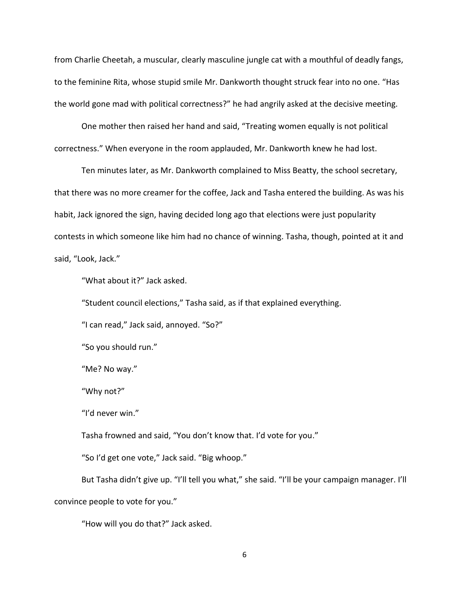from Charlie Cheetah, a muscular, clearly masculine jungle cat with a mouthful of deadly fangs, to the feminine Rita, whose stupid smile Mr. Dankworth thought struck fear into no one. "Has the world gone mad with political correctness?" he had angrily asked at the decisive meeting.

One mother then raised her hand and said, "Treating women equally is not political correctness." When everyone in the room applauded, Mr. Dankworth knew he had lost.

Ten minutes later, as Mr. Dankworth complained to Miss Beatty, the school secretary, that there was no more creamer for the coffee, Jack and Tasha entered the building. As was his habit, Jack ignored the sign, having decided long ago that elections were just popularity contests in which someone like him had no chance of winning. Tasha, though, pointed at it and said, "Look, Jack."

"What about it?" Jack asked.

"Student council elections," Tasha said, as if that explained everything.

"I can read," Jack said, annoyed. "So?"

"So you should run."

"Me? No way."

"Why not?"

"I'd never win."

Tasha frowned and said, "You don't know that. I'd vote for you."

"So I'd get one vote," Jack said. "Big whoop."

But Tasha didn't give up. "I'll tell you what," she said. "I'll be your campaign manager. I'll convince people to vote for you."

"How will you do that?" Jack asked.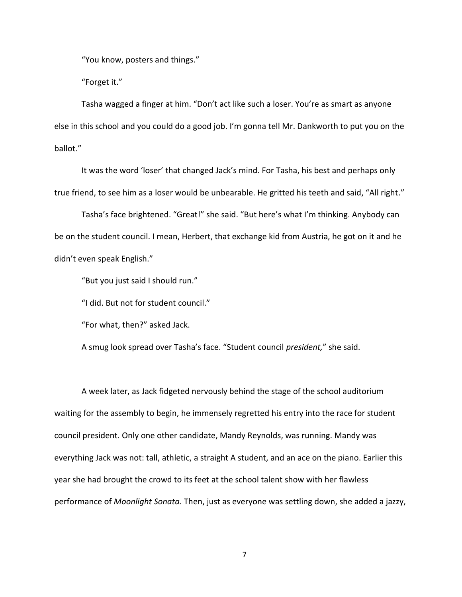"You know, posters and things."

"Forget it."

Tasha wagged a finger at him. "Don't act like such a loser. You're as smart as anyone else in this school and you could do a good job. I'm gonna tell Mr. Dankworth to put you on the ballot."

It was the word 'loser' that changed Jack's mind. For Tasha, his best and perhaps only true friend, to see him as a loser would be unbearable. He gritted his teeth and said, "All right."

Tasha's face brightened. "Great!" she said. "But here's what I'm thinking. Anybody can be on the student council. I mean, Herbert, that exchange kid from Austria, he got on it and he didn't even speak English."

"But you just said I should run."

"I did. But not for student council."

"For what, then?" asked Jack.

A smug look spread over Tasha's face. "Student council *president,*" she said.

A week later, as Jack fidgeted nervously behind the stage of the school auditorium waiting for the assembly to begin, he immensely regretted his entry into the race for student council president. Only one other candidate, Mandy Reynolds, was running. Mandy was everything Jack was not: tall, athletic, a straight A student, and an ace on the piano. Earlier this year she had brought the crowd to its feet at the school talent show with her flawless performance of *Moonlight Sonata.* Then, just as everyone was settling down, she added a jazzy,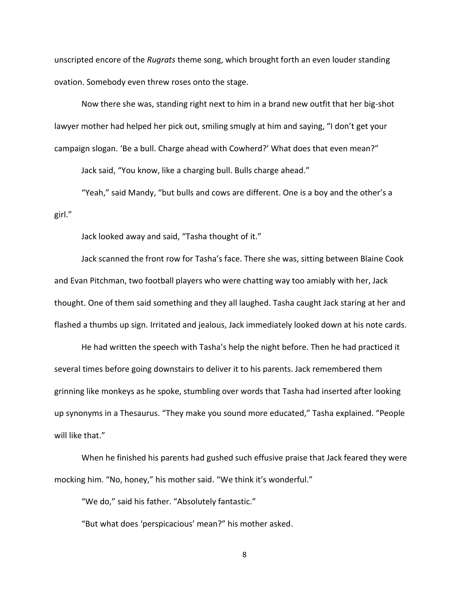unscripted encore of the *Rugrats* theme song, which brought forth an even louder standing ovation. Somebody even threw roses onto the stage.

Now there she was, standing right next to him in a brand new outfit that her big-shot lawyer mother had helped her pick out, smiling smugly at him and saying, "I don't get your campaign slogan. 'Be a bull. Charge ahead with Cowherd?' What does that even mean?"

Jack said, "You know, like a charging bull. Bulls charge ahead."

"Yeah," said Mandy, "but bulls and cows are different. One is a boy and the other's a girl."

Jack looked away and said, "Tasha thought of it."

Jack scanned the front row for Tasha's face. There she was, sitting between Blaine Cook and Evan Pitchman, two football players who were chatting way too amiably with her, Jack thought. One of them said something and they all laughed. Tasha caught Jack staring at her and flashed a thumbs up sign. Irritated and jealous, Jack immediately looked down at his note cards.

He had written the speech with Tasha's help the night before. Then he had practiced it several times before going downstairs to deliver it to his parents. Jack remembered them grinning like monkeys as he spoke, stumbling over words that Tasha had inserted after looking up synonyms in a Thesaurus. "They make you sound more educated," Tasha explained. "People will like that."

When he finished his parents had gushed such effusive praise that Jack feared they were mocking him. "No, honey," his mother said. "We think it's wonderful."

"We do," said his father. "Absolutely fantastic."

"But what does 'perspicacious' mean?" his mother asked.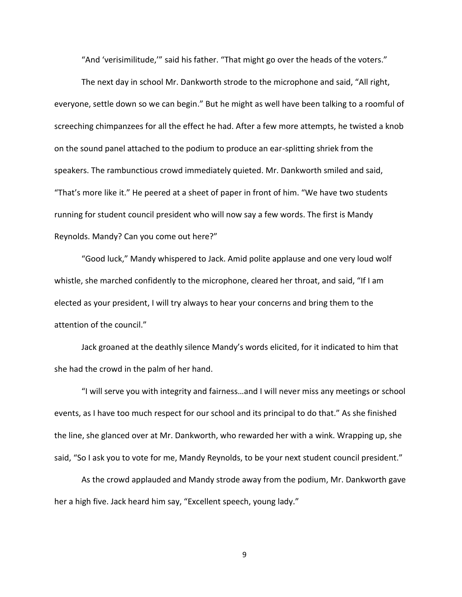"And 'verisimilitude,'" said his father. "That might go over the heads of the voters."

The next day in school Mr. Dankworth strode to the microphone and said, "All right, everyone, settle down so we can begin." But he might as well have been talking to a roomful of screeching chimpanzees for all the effect he had. After a few more attempts, he twisted a knob on the sound panel attached to the podium to produce an ear-splitting shriek from the speakers. The rambunctious crowd immediately quieted. Mr. Dankworth smiled and said, "That's more like it." He peered at a sheet of paper in front of him. "We have two students running for student council president who will now say a few words. The first is Mandy Reynolds. Mandy? Can you come out here?"

"Good luck," Mandy whispered to Jack. Amid polite applause and one very loud wolf whistle, she marched confidently to the microphone, cleared her throat, and said, "If I am elected as your president, I will try always to hear your concerns and bring them to the attention of the council."

Jack groaned at the deathly silence Mandy's words elicited, for it indicated to him that she had the crowd in the palm of her hand.

"I will serve you with integrity and fairness…and I will never miss any meetings or school events, as I have too much respect for our school and its principal to do that." As she finished the line, she glanced over at Mr. Dankworth, who rewarded her with a wink. Wrapping up, she said, "So I ask you to vote for me, Mandy Reynolds, to be your next student council president."

As the crowd applauded and Mandy strode away from the podium, Mr. Dankworth gave her a high five. Jack heard him say, "Excellent speech, young lady."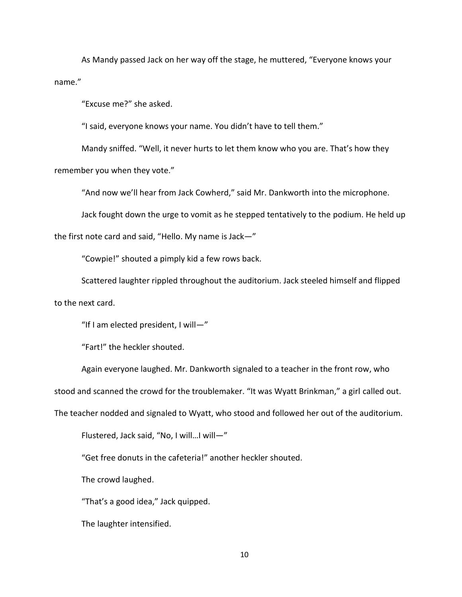As Mandy passed Jack on her way off the stage, he muttered, "Everyone knows your name."

"Excuse me?" she asked.

"I said, everyone knows your name. You didn't have to tell them."

Mandy sniffed. "Well, it never hurts to let them know who you are. That's how they remember you when they vote."

"And now we'll hear from Jack Cowherd," said Mr. Dankworth into the microphone.

Jack fought down the urge to vomit as he stepped tentatively to the podium. He held up

the first note card and said, "Hello. My name is Jack—"

"Cowpie!" shouted a pimply kid a few rows back.

Scattered laughter rippled throughout the auditorium. Jack steeled himself and flipped to the next card.

"If I am elected president, I will—"

"Fart!" the heckler shouted.

Again everyone laughed. Mr. Dankworth signaled to a teacher in the front row, who

stood and scanned the crowd for the troublemaker. "It was Wyatt Brinkman," a girl called out.

The teacher nodded and signaled to Wyatt, who stood and followed her out of the auditorium.

Flustered, Jack said, "No, I will…I will—"

"Get free donuts in the cafeteria!" another heckler shouted.

The crowd laughed.

"That's a good idea," Jack quipped.

The laughter intensified.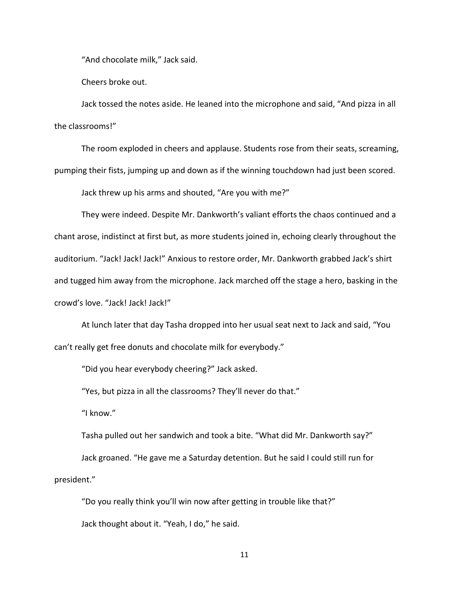"And chocolate milk," Jack said.

Cheers broke out.

Jack tossed the notes aside. He leaned into the microphone and said, "And pizza in all the classrooms!"

The room exploded in cheers and applause. Students rose from their seats, screaming, pumping their fists, jumping up and down as if the winning touchdown had just been scored.

Jack threw up his arms and shouted, "Are you with me?"

They were indeed. Despite Mr. Dankworth's valiant efforts the chaos continued and a chant arose, indistinct at first but, as more students joined in, echoing clearly throughout the auditorium. "Jack! Jack! Jack!" Anxious to restore order, Mr. Dankworth grabbed Jack's shirt and tugged him away from the microphone. Jack marched off the stage a hero, basking in the crowd's love. "Jack! Jack! Jack!"

At lunch later that day Tasha dropped into her usual seat next to Jack and said, "You can't really get free donuts and chocolate milk for everybody."

"Did you hear everybody cheering?" Jack asked.

"Yes, but pizza in all the classrooms? They'll never do that."

"I know."

Tasha pulled out her sandwich and took a bite. "What did Mr. Dankworth say?" Jack groaned. "He gave me a Saturday detention. But he said I could still run for president."

"Do you really think you'll win now after getting in trouble like that?" Jack thought about it. "Yeah, I do," he said.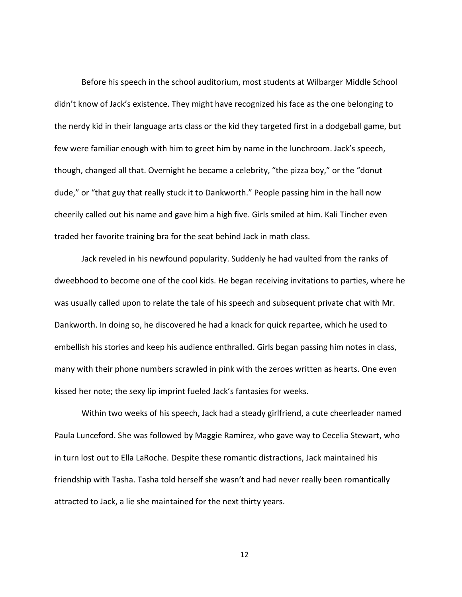Before his speech in the school auditorium, most students at Wilbarger Middle School didn't know of Jack's existence. They might have recognized his face as the one belonging to the nerdy kid in their language arts class or the kid they targeted first in a dodgeball game, but few were familiar enough with him to greet him by name in the lunchroom. Jack's speech, though, changed all that. Overnight he became a celebrity, "the pizza boy," or the "donut dude," or "that guy that really stuck it to Dankworth." People passing him in the hall now cheerily called out his name and gave him a high five. Girls smiled at him. Kali Tincher even traded her favorite training bra for the seat behind Jack in math class.

Jack reveled in his newfound popularity. Suddenly he had vaulted from the ranks of dweebhood to become one of the cool kids. He began receiving invitations to parties, where he was usually called upon to relate the tale of his speech and subsequent private chat with Mr. Dankworth. In doing so, he discovered he had a knack for quick repartee, which he used to embellish his stories and keep his audience enthralled. Girls began passing him notes in class, many with their phone numbers scrawled in pink with the zeroes written as hearts. One even kissed her note; the sexy lip imprint fueled Jack's fantasies for weeks.

Within two weeks of his speech, Jack had a steady girlfriend, a cute cheerleader named Paula Lunceford. She was followed by Maggie Ramirez, who gave way to Cecelia Stewart, who in turn lost out to Ella LaRoche. Despite these romantic distractions, Jack maintained his friendship with Tasha. Tasha told herself she wasn't and had never really been romantically attracted to Jack, a lie she maintained for the next thirty years.